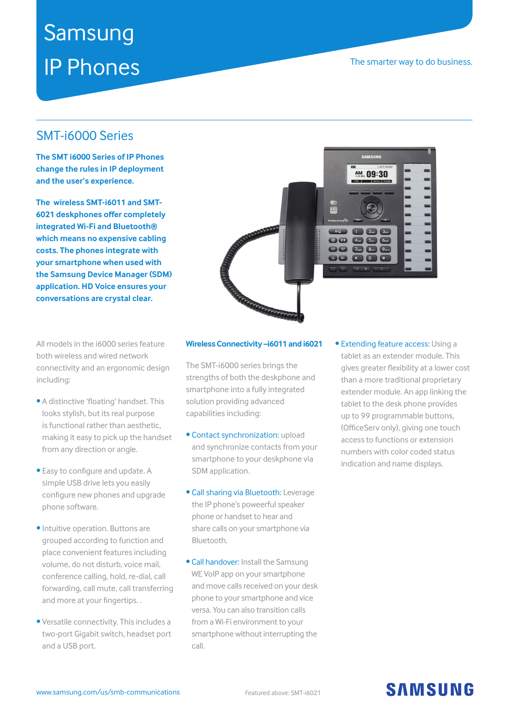# Samsung IP Phones

### The smarter way to do business.

### SMT-i6000 Series

**The SMT i6000 Series of IP Phones change the rules in IP deployment and the user's experience.** 

**The wireless SMT-i6011 and SMT-6021 deskphones offer completely integrated Wi-Fi and Bluetooth® which means no expensive cabling costs. The phones integrate with your smartphone when used with the Samsung Device Manager (SDM) application. HD Voice ensures your conversations are crystal clear.**

All models in the i6000 series feature both wireless and wired network connectivity and an ergonomic design including:

- A distinctive 'floating' handset. This looks stylish, but its real purpose is functional rather than aesthetic, making it easy to pick up the handset from any direction or angle.
- Easy to configure and update. A simple USB drive lets you easily configure new phones and upgrade phone software.
- Intuitive operation. Buttons are grouped according to function and place convenient features including volume, do not disturb, voice mail, conference calling, hold, re-dial, call forwarding, call mute, call transferring and more at your fingertips. .
- Versatile connectivity. This includes a two-port Gigabit switch, headset port and a USB port.



#### **Wireless Connectivity –i6011 and i6021**

The SMT-i6000 series brings the strengths of both the deskphone and smartphone into a fully integrated solution providing advanced capabilities including:

- Contact synchronization: upload and synchronize contacts from your smartphone to your deskphone via SDM application.
- Call sharing via Bluetooth: Leverage the IP phone's poweerful speaker phone or handset to hear and share calls on your smartphone via Bluetooth.
- Call handover: Install the Samsung WE VoIP app on your smartphone and move calls received on your desk phone to your smartphone and vice versa. You can also transition calls from a Wi-Fi environment to your smartphone without interrupting the call.

• Extending feature access: Using a tablet as an extender module. This gives greater flexibility at a lower cost than a more traditional proprietary extender module. An app linking the tablet to the desk phone provides up to 99 programmable buttons, (OfficeServ only), giving one touch access to functions or extension numbers with color coded status indication and name displays.

## **SAMSUNG**